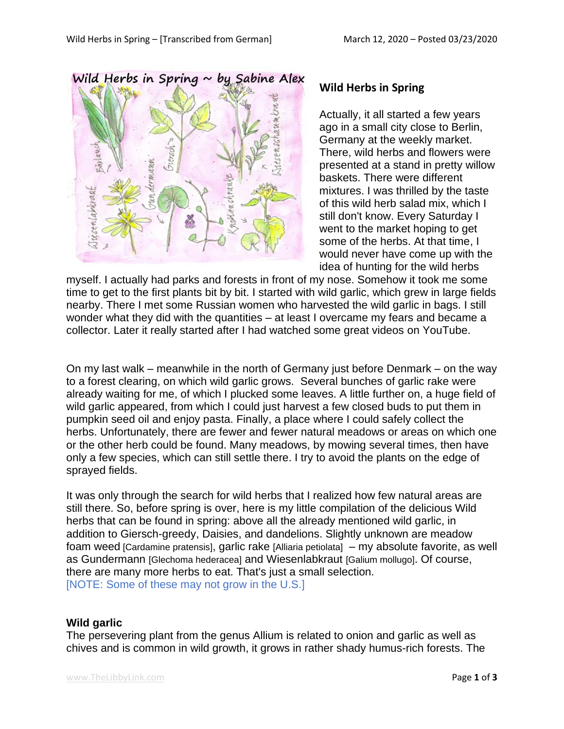

# **Wild Herbs in Spring**

Actually, it all started a few years ago in a small city close to Berlin, Germany at the weekly market. There, wild herbs and flowers were presented at a stand in pretty willow baskets. There were different mixtures. I was thrilled by the taste of this wild herb salad mix, which I still don't know. Every Saturday I went to the market hoping to get some of the herbs. At that time, I would never have come up with the idea of hunting for the wild herbs

myself. I actually had parks and forests in front of my nose. Somehow it took me some time to get to the first plants bit by bit. I started with wild garlic, which grew in large fields nearby. There I met some Russian women who harvested the wild garlic in bags. I still wonder what they did with the quantities – at least I overcame my fears and became a collector. Later it really started after I had watched some great videos on YouTube.

On my last walk – meanwhile in the north of Germany just before Denmark – on the way to a forest clearing, on which wild garlic grows. Several bunches of garlic rake were already waiting for me, of which I plucked some leaves. A little further on, a huge field of wild garlic appeared, from which I could just harvest a few closed buds to put them in pumpkin seed oil and enjoy pasta. Finally, a place where I could safely collect the herbs. Unfortunately, there are fewer and fewer natural meadows or areas on which one or the other herb could be found. Many meadows, by mowing several times, then have only a few species, which can still settle there. I try to avoid the plants on the edge of sprayed fields.

It was only through the search for wild herbs that I realized how few natural areas are still there. So, before spring is over, here is my little compilation of the delicious Wild herbs that can be found in spring: above all the already mentioned wild garlic, in addition to Giersch-greedy, Daisies, and dandelions. Slightly unknown are meadow foam weed [Cardamine pratensis], garlic rake [Alliaria petiolata] – my absolute favorite, as well as Gundermann [Glechoma hederacea] and Wiesenlabkraut [Galium mollugo]. Of course, there are many more herbs to eat. That's just a small selection. [NOTE: Some of these may not grow in the U.S.]

# **Wild garlic**

The persevering plant from the genus Allium is related to onion and garlic as well as chives and is common in wild growth, it grows in rather shady humus-rich forests. The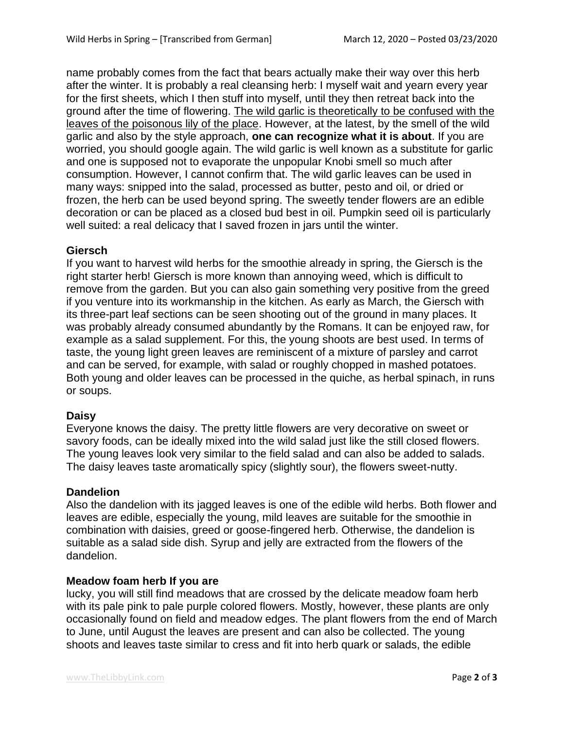name probably comes from the fact that bears actually make their way over this herb after the winter. It is probably a real cleansing herb: I myself wait and yearn every year for the first sheets, which I then stuff into myself, until they then retreat back into the ground after the time of flowering. The wild garlic is theoretically to be confused with the leaves of the poisonous lily of the place. However, at the latest, by the smell of the wild garlic and also by the style approach, **one can recognize what it is about**. If you are worried, you should google again. The wild garlic is well known as a substitute for garlic and one is supposed not to evaporate the unpopular Knobi smell so much after consumption. However, I cannot confirm that. The wild garlic leaves can be used in many ways: snipped into the salad, processed as butter, pesto and oil, or dried or frozen, the herb can be used beyond spring. The sweetly tender flowers are an edible decoration or can be placed as a closed bud best in oil. Pumpkin seed oil is particularly well suited: a real delicacy that I saved frozen in jars until the winter.

# **Giersch**

If you want to harvest wild herbs for the smoothie already in spring, the Giersch is the right starter herb! Giersch is more known than annoying weed, which is difficult to remove from the garden. But you can also gain something very positive from the greed if you venture into its workmanship in the kitchen. As early as March, the Giersch with its three-part leaf sections can be seen shooting out of the ground in many places. It was probably already consumed abundantly by the Romans. It can be enjoyed raw, for example as a salad supplement. For this, the young shoots are best used. In terms of taste, the young light green leaves are reminiscent of a mixture of parsley and carrot and can be served, for example, with salad or roughly chopped in mashed potatoes. Both young and older leaves can be processed in the quiche, as herbal spinach, in runs or soups.

# **Daisy**

Everyone knows the daisy. The pretty little flowers are very decorative on sweet or savory foods, can be ideally mixed into the wild salad just like the still closed flowers. The young leaves look very similar to the field salad and can also be added to salads. The daisy leaves taste aromatically spicy (slightly sour), the flowers sweet-nutty.

#### **Dandelion**

Also the dandelion with its jagged leaves is one of the edible wild herbs. Both flower and leaves are edible, especially the young, mild leaves are suitable for the smoothie in combination with daisies, greed or goose-fingered herb. Otherwise, the dandelion is suitable as a salad side dish. Syrup and jelly are extracted from the flowers of the dandelion.

#### **Meadow foam herb If you are**

lucky, you will still find meadows that are crossed by the delicate meadow foam herb with its pale pink to pale purple colored flowers. Mostly, however, these plants are only occasionally found on field and meadow edges. The plant flowers from the end of March to June, until August the leaves are present and can also be collected. The young shoots and leaves taste similar to cress and fit into herb quark or salads, the edible